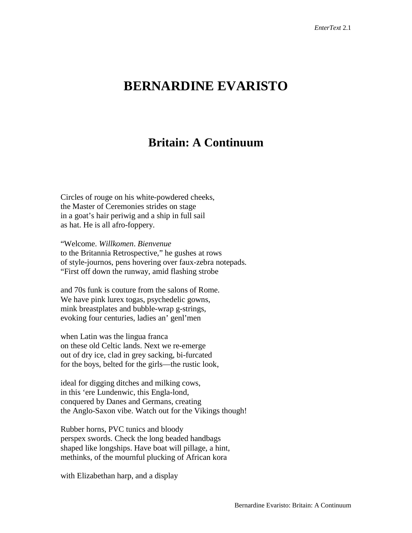## **BERNARDINE EVARISTO**

## **Britain: A Continuum**

Circles of rouge on his white-powdered cheeks, the Master of Ceremonies strides on stage in a goat's hair periwig and a ship in full sail as hat. He is all afro-foppery.

"Welcome. *Willkomen*. *Bienvenue* to the Britannia Retrospective," he gushes at rows of style-journos, pens hovering over faux-zebra notepads. "First off down the runway, amid flashing strobe

and 70s funk is couture from the salons of Rome. We have pink lurex togas, psychedelic gowns, mink breastplates and bubble-wrap g-strings, evoking four centuries, ladies an' genl'men

when Latin was the lingua franca on these old Celtic lands. Next we re-emerge out of dry ice, clad in grey sacking, bi-furcated for the boys, belted for the girls—the rustic look,

ideal for digging ditches and milking cows, in this 'ere Lundenwic, this Engla-lond, conquered by Danes and Germans, creating the Anglo-Saxon vibe. Watch out for the Vikings though!

Rubber horns, PVC tunics and bloody perspex swords. Check the long beaded handbags shaped like longships. Have boat will pillage, a hint, methinks, of the mournful plucking of African kora

with Elizabethan harp, and a display